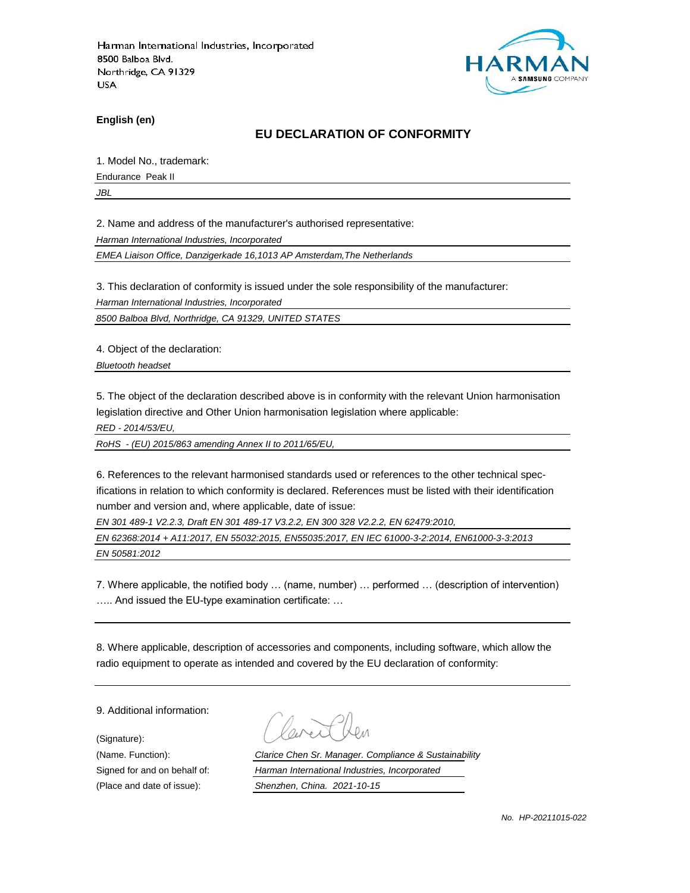

**English (en)**

#### **EU DECLARATION OF CONFORMITY**

1. Model No., trademark:

Endurance Peak II

*JBL*

2. Name and address of the manufacturer's authorised representative:

*Harman International Industries, Incorporated*

*EMEA Liaison Office, Danzigerkade 16,1013 AP Amsterdam,The Netherlands*

3. This declaration of conformity is issued under the sole responsibility of the manufacturer:

*Harman International Industries, Incorporated*

*8500 Balboa Blvd, Northridge, CA 91329, UNITED STATES*

4. Object of the declaration:

*Bluetooth headset*

5. The object of the declaration described above is in conformity with the relevant Union harmonisation legislation directive and Other Union harmonisation legislation where applicable:

*RED - 2014/53/EU,*

*RoHS - (EU) 2015/863 amending Annex II to 2011/65/EU,*

6. References to the relevant harmonised standards used or references to the other technical specifications in relation to which conformity is declared. References must be listed with their identification number and version and, where applicable, date of issue:

*EN 301 489-1 V2.2.3, Draft EN 301 489-17 V3.2.2, EN 300 328 V2.2.2, EN 62479:2010,*

*EN 62368:2014 + A11:2017, EN 55032:2015, EN55035:2017, EN IEC 61000-3-2:2014, EN61000-3-3:2013 EN 50581:2012*

7. Where applicable, the notified body … (name, number) … performed … (description of intervention) ….. And issued the EU-type examination certificate: …

8. Where applicable, description of accessories and components, including software, which allow the radio equipment to operate as intended and covered by the EU declaration of conformity:

9. Additional information:

(Signature):

(Name. Function): *Clarice Chen Sr. Manager. Compliance & Sustainability* Signed for and on behalf of: *Harman International Industries, Incorporated* (Place and date of issue): *Shenzhen, China. 2021-10-15*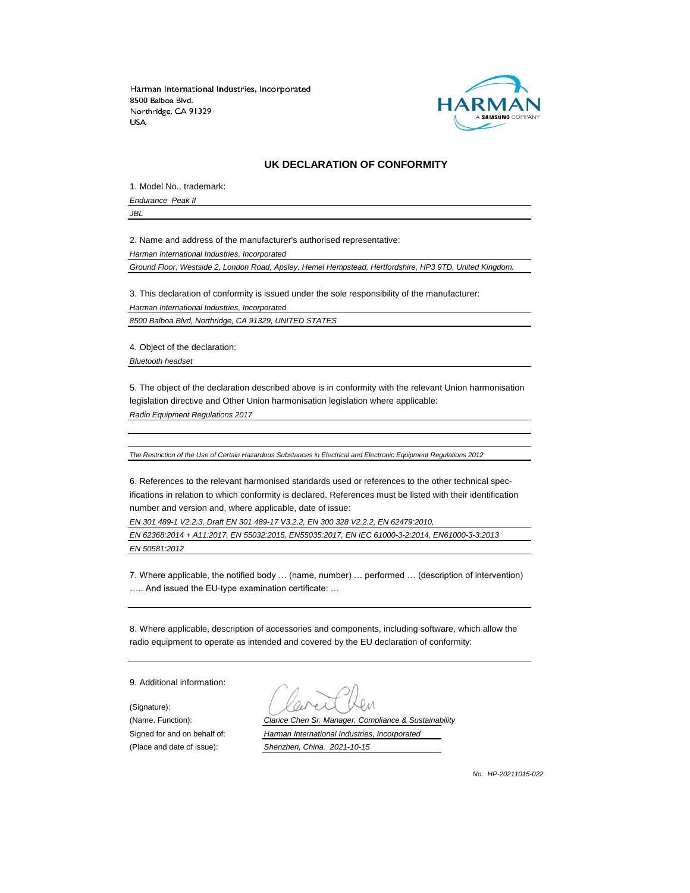

#### **UK DECLARATION OF CONFORMITY**

1. Model No., trademark: *Endurance Peak II*

*JBL*

2. Name and address of the manufacturer's authorised representative:

*Harman International Industries, Incorporated*

*Ground Floor, Westside 2, London Road, Apsley, Hemel Hempstead, Hertfordshire, HP3 9TD, United Kingdom.*

3. This declaration of conformity is issued under the sole responsibility of the manufacturer: *Harman International Industries, Incorporated 8500 Balboa Blvd, Northridge, CA 91329, UNITED STATES*

4. Object of the declaration:

*Bluetooth headset*

5. The object of the declaration described above is in conformity with the relevant Union harmonisation legislation directive and Other Union harmonisation legislation where applicable:

*Radio Equipment Regulations 2017*

*The Restriction of the Use of Certain Hazardous Substances in Electrical and Electronic Equipment Regulations 2012*

6. References to the relevant harmonised standards used or references to the other technical specifications in relation to which conformity is declared. References must be listed with their identification number and version and, where applicable, date of issue:

*EN 301 489-1 V2.2.3, Draft EN 301 489-17 V3.2.2, EN 300 328 V2.2.2, EN 62479:2010,*

*EN 62368:2014 + A11:2017, EN 55032:2015, EN55035:2017, EN IEC 61000-3-2:2014, EN61000-3-3:2013 EN 50581:2012*

7. Where applicable, the notified body … (name, number) … performed … (description of intervention) ….. And issued the EU-type examination certificate: …

8. Where applicable, description of accessories and components, including software, which allow the radio equipment to operate as intended and covered by the EU declaration of conformity:

9. Additional information:

(Signature):

(Name. Function): *Clarice Chen Sr. Manager. Compliance & Sustainability* Signed for and on behalf of: *Harman International Industries, Incorporated* (Place and date of issue): *Shenzhen, China. 2021-10-15*

*No. HP-20211015-022*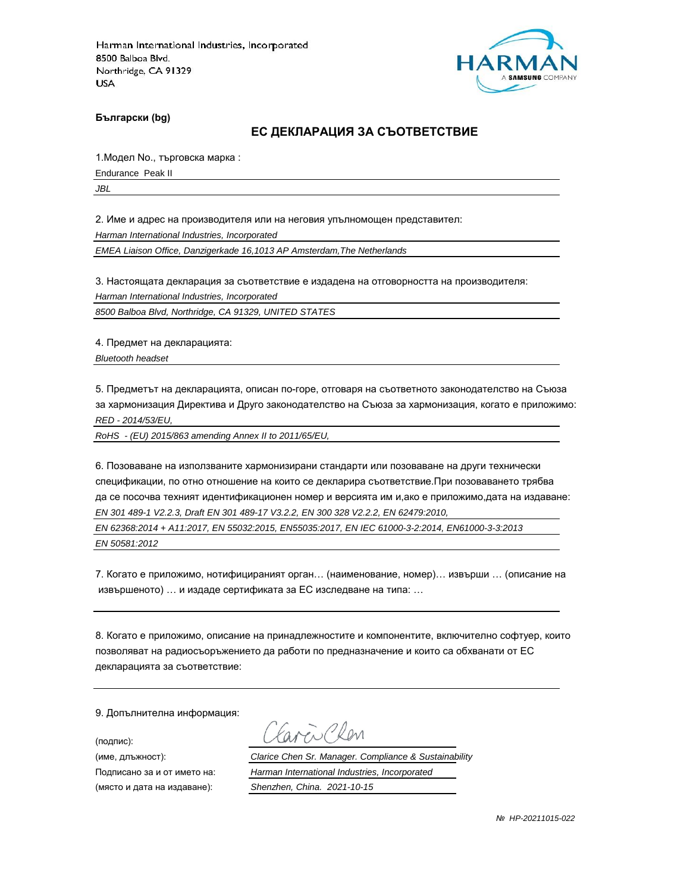

**Български (bg)**

#### **ЕС ДЕКЛАРАЦИЯ ЗА СЪОТВЕТСТВИЕ**

1.Модел No., търговска марка :

Endurance Peak II

*JBL*

2. Име и адрес на производителя или на неговия упълномощен представител:

*Harman International Industries, Incorporated*

*EMEA Liaison Office, Danzigerkade 16,1013 AP Amsterdam,The Netherlands*

3. Настоящата декларация за съответствие е издадена на отговорността на производителя:

*Harman International Industries, Incorporated*

*8500 Balboa Blvd, Northridge, CA 91329, UNITED STATES*

4. Предмет на декларацията:

*Bluetooth headset*

5. Предметът на декларацията, описан по-горе, отговаря на съответното законодателство на Съюза за хармонизация Директива и Друго законодателство на Съюза за хармонизация, когато е приложимо: *RED - 2014/53/EU,*

*RoHS - (EU) 2015/863 amending Annex II to 2011/65/EU,*

6. Позоваване на използваните хармонизирани стандарти или позоваване на други технически спецификации, по отно отношение на които се декларира съответствие.При позоваването трябва да се посочва техният идентификационен номер и версията им и,ако е приложимо,дата на издаване: *EN 301 489-1 V2.2.3, Draft EN 301 489-17 V3.2.2, EN 300 328 V2.2.2, EN 62479:2010,*

*EN 62368:2014 + A11:2017, EN 55032:2015, EN55035:2017, EN IEC 61000-3-2:2014, EN61000-3-3:2013 EN 50581:2012*

7. Когато е приложимо, нотифицираният орган… (наименование, номер)… извърши … (описание на извършеното) … и издаде сертификата за ЕС изследване на типа: …

8. Когато е приложимо, описание на принадлежностите и компонентите, включително софтуер, които позволяват на радиосъоръжението да работи по предназначение и които са обхванати от ЕС декларацията за съответствие:

9. Допълнителна информация:

(подпис):

(място и дата на издаване): *Shenzhen, China. 2021-10-15*

aren Chen

(име, длъжност): *Clarice Chen Sr. Manager. Compliance & Sustainability*

Подписано за и от името на: *Harman International Industries, Incorporated*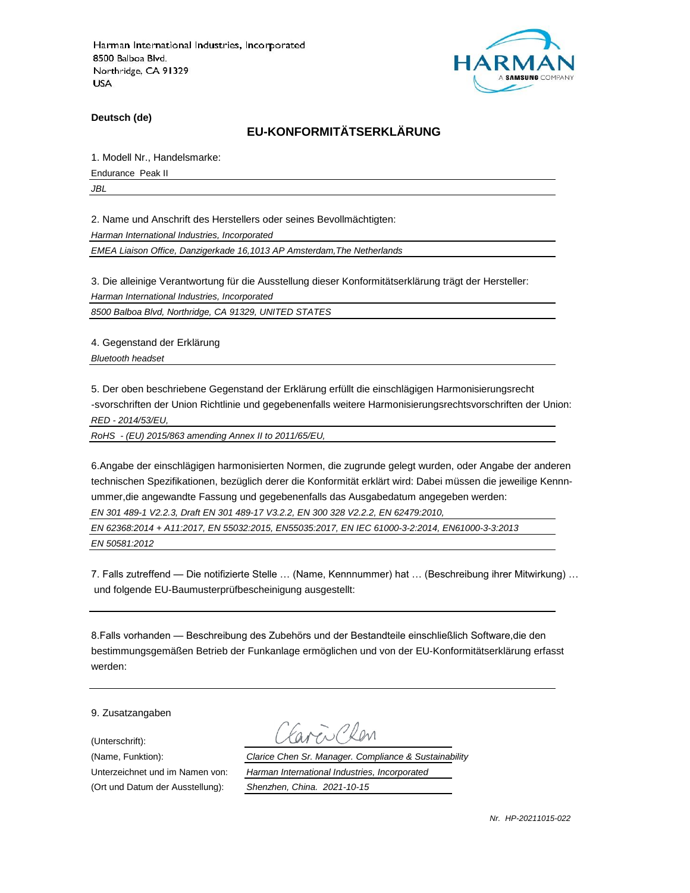

**Deutsch (de)**

## **EU-KONFORMITÄTSERKLÄRUNG**

1. Modell Nr., Handelsmarke:

Endurance Peak II

*JBL*

2. Name und Anschrift des Herstellers oder seines Bevollmächtigten:

*Harman International Industries, Incorporated*

*EMEA Liaison Office, Danzigerkade 16,1013 AP Amsterdam,The Netherlands*

3. Die alleinige Verantwortung für die Ausstellung dieser Konformitätserklärung trägt der Hersteller:

*Harman International Industries, Incorporated*

*8500 Balboa Blvd, Northridge, CA 91329, UNITED STATES*

4. Gegenstand der Erklärung

*Bluetooth headset*

5. Der oben beschriebene Gegenstand der Erklärung erfüllt die einschlägigen Harmonisierungsrecht -svorschriften der Union Richtlinie und gegebenenfalls weitere Harmonisierungsrechtsvorschriften der Union: *RED - 2014/53/EU,*

*RoHS - (EU) 2015/863 amending Annex II to 2011/65/EU,*

6.Angabe der einschlägigen harmonisierten Normen, die zugrunde gelegt wurden, oder Angabe der anderen technischen Spezifikationen, bezüglich derer die Konformität erklärt wird: Dabei müssen die jeweilige Kennnummer,die angewandte Fassung und gegebenenfalls das Ausgabedatum angegeben werden: *EN 301 489-1 V2.2.3, Draft EN 301 489-17 V3.2.2, EN 300 328 V2.2.2, EN 62479:2010,*

*EN 62368:2014 + A11:2017, EN 55032:2015, EN55035:2017, EN IEC 61000-3-2:2014, EN61000-3-3:2013 EN 50581:2012*

7. Falls zutreffend — Die notifizierte Stelle … (Name, Kennnummer) hat … (Beschreibung ihrer Mitwirkung) … und folgende EU-Baumusterprüfbescheinigung ausgestellt:

8.Falls vorhanden — Beschreibung des Zubehörs und der Bestandteile einschließlich Software,die den bestimmungsgemäßen Betrieb der Funkanlage ermöglichen und von der EU-Konformitätserklärung erfasst werden:

9. Zusatzangaben

(Unterschrift):

(Name, Funktion): *Clarice Chen Sr. Manager. Compliance & Sustainability* Unterzeichnet und im Namen von: *Harman International Industries, Incorporated* (Ort und Datum der Ausstellung): *Shenzhen, China. 2021-10-15*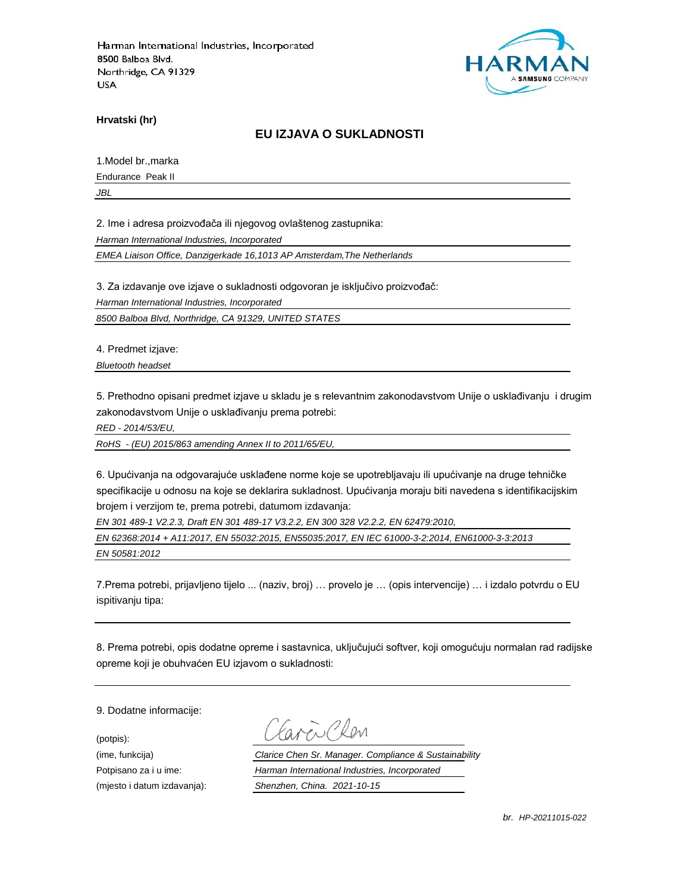

**Hrvatski (hr)**

### **EU IZJAVA O SUKLADNOSTI**

1.Model br.,marka

Endurance Peak II

*JBL*

2. Ime i adresa proizvođača ili njegovog ovlaštenog zastupnika:

*Harman International Industries, Incorporated*

*EMEA Liaison Office, Danzigerkade 16,1013 AP Amsterdam,The Netherlands*

3. Za izdavanje ove izjave o sukladnosti odgovoran je isključivo proizvođač:

*Harman International Industries, Incorporated*

*8500 Balboa Blvd, Northridge, CA 91329, UNITED STATES*

4. Predmet izjave:

*Bluetooth headset*

5. Prethodno opisani predmet izjave u skladu je s relevantnim zakonodavstvom Unije o usklađivanju i drugim zakonodavstvom Unije o usklađivanju prema potrebi:

*RED - 2014/53/EU,*

*RoHS - (EU) 2015/863 amending Annex II to 2011/65/EU,*

6. Upućivanja na odgovarajuće usklađene norme koje se upotrebljavaju ili upućivanje na druge tehničke specifikacije u odnosu na koje se deklarira sukladnost. Upućivanja moraju biti navedena s identifikacijskim brojem i verzijom te, prema potrebi, datumom izdavanja:

*EN 301 489-1 V2.2.3, Draft EN 301 489-17 V3.2.2, EN 300 328 V2.2.2, EN 62479:2010,*

*EN 62368:2014 + A11:2017, EN 55032:2015, EN55035:2017, EN IEC 61000-3-2:2014, EN61000-3-3:2013 EN 50581:2012*

7.Prema potrebi, prijavljeno tijelo ... (naziv, broj) … provelo je … (opis intervencije) … i izdalo potvrdu o EU ispitivanju tipa:

8. Prema potrebi, opis dodatne opreme i sastavnica, uključujući softver, koji omogućuju normalan rad radijske opreme koji je obuhvaćen EU izjavom o sukladnosti:

9. Dodatne informacije:

(potpis):

(ime, funkcija) *Clarice Chen Sr. Manager. Compliance & Sustainability* Potpisano za i u ime: *Harman International Industries, Incorporated* (mjesto i datum izdavanja): *Shenzhen, China. 2021-10-15*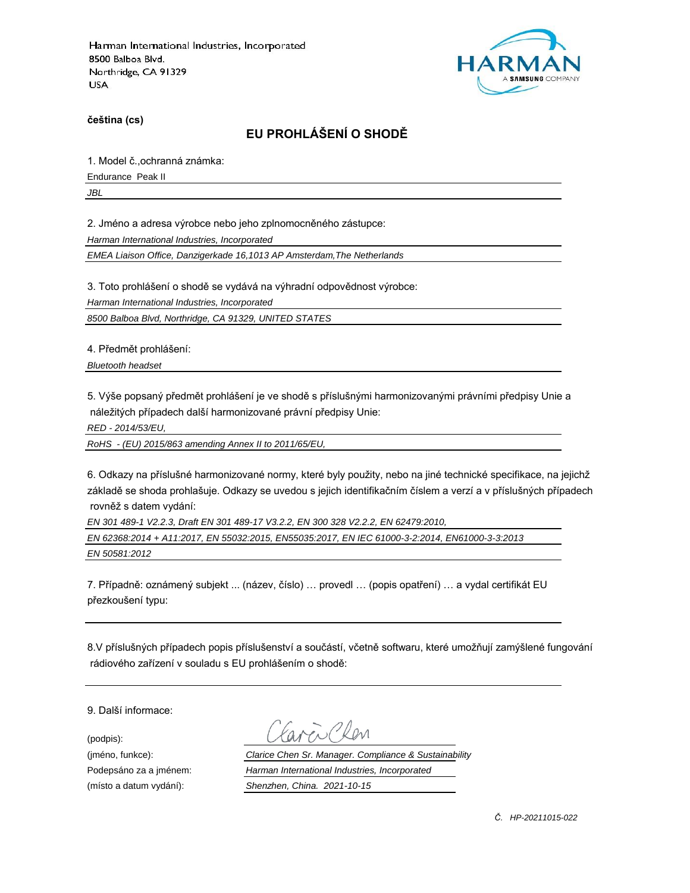

**čeština (cs)**

# **EU PROHLÁŠENÍ O SHODĚ**

1. Model č.,ochranná známka:

Endurance Peak II

*JBL*

2. Jméno a adresa výrobce nebo jeho zplnomocněného zástupce:

*Harman International Industries, Incorporated*

*EMEA Liaison Office, Danzigerkade 16,1013 AP Amsterdam,The Netherlands*

3. Toto prohlášení o shodě se vydává na výhradní odpovědnost výrobce:

*Harman International Industries, Incorporated*

*8500 Balboa Blvd, Northridge, CA 91329, UNITED STATES*

4. Předmět prohlášení:

*Bluetooth headset*

5. Výše popsaný předmět prohlášení je ve shodě s příslušnými harmonizovanými právními předpisy Unie a náležitých případech další harmonizované právní předpisy Unie:

*RED - 2014/53/EU,*

*RoHS - (EU) 2015/863 amending Annex II to 2011/65/EU,*

6. Odkazy na příslušné harmonizované normy, které byly použity, nebo na jiné technické specifikace, na jejichž základě se shoda prohlašuje. Odkazy se uvedou s jejich identifikačním číslem a verzí a v příslušných případech rovněž s datem vydání:

*EN 301 489-1 V2.2.3, Draft EN 301 489-17 V3.2.2, EN 300 328 V2.2.2, EN 62479:2010,*

*EN 62368:2014 + A11:2017, EN 55032:2015, EN55035:2017, EN IEC 61000-3-2:2014, EN61000-3-3:2013 EN 50581:2012*

7. Případně: oznámený subjekt ... (název, číslo) … provedl … (popis opatření) … a vydal certifikát EU přezkoušení typu:

8.V příslušných případech popis příslušenství a součástí, včetně softwaru, které umožňují zamýšlené fungování rádiového zařízení v souladu s EU prohlášením o shodě:

9. Další informace:

(podpis):

(jméno, funkce): *Clarice Chen Sr. Manager. Compliance & Sustainability* Podepsáno za a jménem: *Harman International Industries, Incorporated* (místo a datum vydání): *Shenzhen, China. 2021-10-15*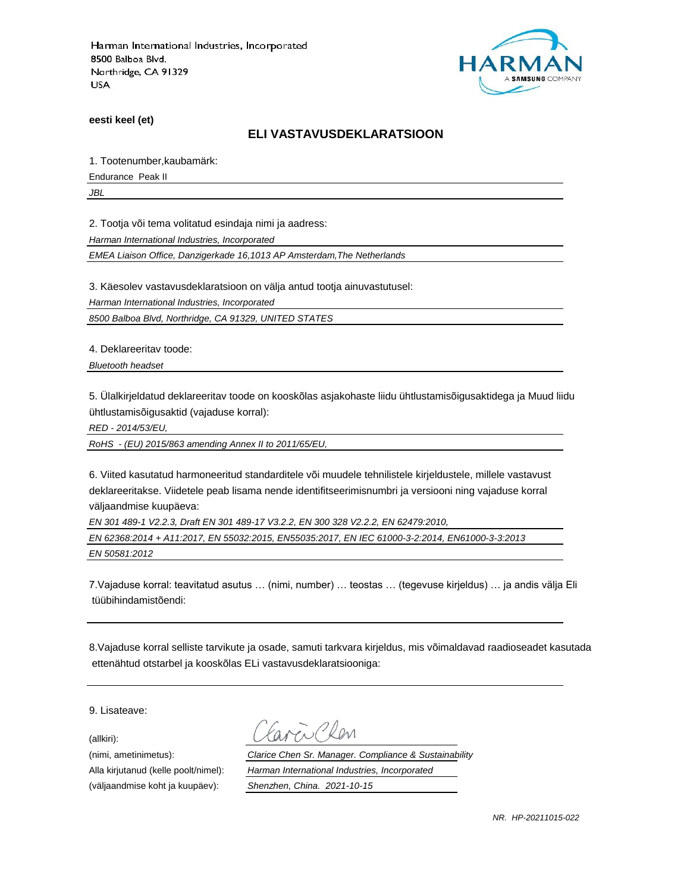

**eesti keel (et)**

#### **ELI VASTAVUSDEKLARATSIOON**

1. Tootenumber,kaubamärk:

Endurance Peak II

*JBL*

2. Tootja või tema volitatud esindaja nimi ja aadress:

*Harman International Industries, Incorporated*

*EMEA Liaison Office, Danzigerkade 16,1013 AP Amsterdam,The Netherlands*

3. Käesolev vastavusdeklaratsioon on välja antud tootja ainuvastutusel:

*Harman International Industries, Incorporated*

*8500 Balboa Blvd, Northridge, CA 91329, UNITED STATES*

4. Deklareeritav toode:

*Bluetooth headset*

5. Ülalkirjeldatud deklareeritav toode on kooskõlas asjakohaste liidu ühtlustamisõigusaktidega ja Muud liidu ühtlustamisõigusaktid (vajaduse korral):

*RED - 2014/53/EU,*

*RoHS - (EU) 2015/863 amending Annex II to 2011/65/EU,*

6. Viited kasutatud harmoneeritud standarditele või muudele tehnilistele kirjeldustele, millele vastavust deklareeritakse. Viidetele peab lisama nende identifitseerimisnumbri ja versiooni ning vajaduse korral väljaandmise kuupäeva:

*EN 301 489-1 V2.2.3, Draft EN 301 489-17 V3.2.2, EN 300 328 V2.2.2, EN 62479:2010,*

*EN 62368:2014 + A11:2017, EN 55032:2015, EN55035:2017, EN IEC 61000-3-2:2014, EN61000-3-3:2013 EN 50581:2012*

7.Vajaduse korral: teavitatud asutus … (nimi, number) … teostas … (tegevuse kirjeldus) … ja andis välja Eli tüübihindamistõendi:

8.Vajaduse korral selliste tarvikute ja osade, samuti tarkvara kirjeldus, mis võimaldavad raadioseadet kasutada ettenähtud otstarbel ja kooskõlas ELi vastavusdeklaratsiooniga:

9. Lisateave:

(allkiri):

(nimi, ametinimetus): *Clarice Chen Sr. Manager. Compliance & Sustainability* Alla kirjutanud (kelle poolt/nimel): *Harman International Industries, Incorporated* (väljaandmise koht ja kuupäev): *Shenzhen, China. 2021-10-15*

*NR. HP-20211015-022*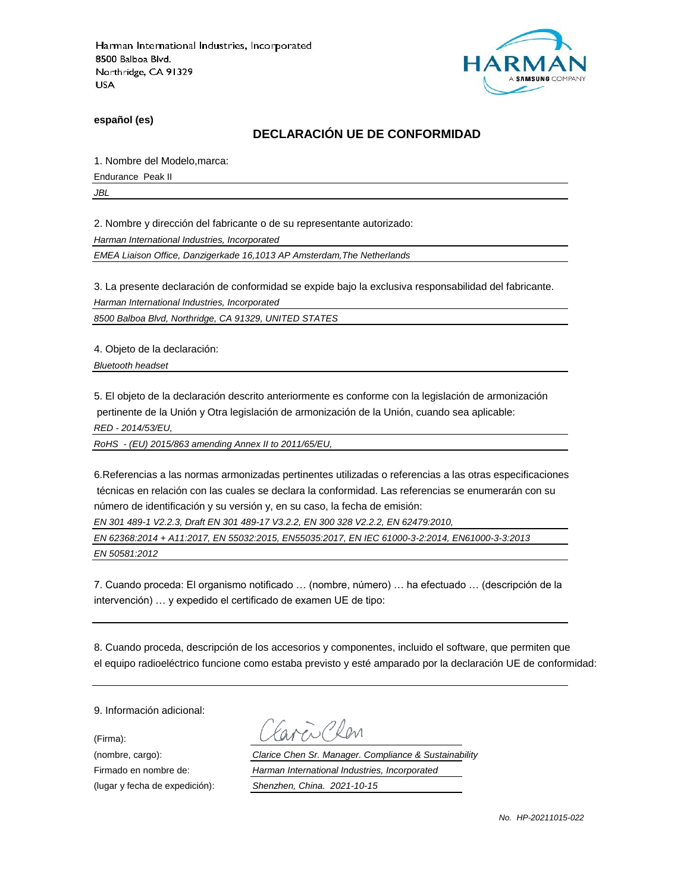

**español (es)**

### **DECLARACIÓN UE DE CONFORMIDAD**

1. Nombre del Modelo,marca:

Endurance Peak II

*JBL*

2. Nombre y dirección del fabricante o de su representante autorizado:

*Harman International Industries, Incorporated*

*EMEA Liaison Office, Danzigerkade 16,1013 AP Amsterdam,The Netherlands*

3. La presente declaración de conformidad se expide bajo la exclusiva responsabilidad del fabricante.

*Harman International Industries, Incorporated*

*8500 Balboa Blvd, Northridge, CA 91329, UNITED STATES*

4. Objeto de la declaración:

*Bluetooth headset*

5. El objeto de la declaración descrito anteriormente es conforme con la legislación de armonización pertinente de la Unión y Otra legislación de armonización de la Unión, cuando sea aplicable:

*RED - 2014/53/EU,*

*RoHS - (EU) 2015/863 amending Annex II to 2011/65/EU,*

6.Referencias a las normas armonizadas pertinentes utilizadas o referencias a las otras especificaciones técnicas en relación con las cuales se declara la conformidad. Las referencias se enumerarán con su número de identificación y su versión y, en su caso, la fecha de emisión:

*EN 301 489-1 V2.2.3, Draft EN 301 489-17 V3.2.2, EN 300 328 V2.2.2, EN 62479:2010,*

*EN 62368:2014 + A11:2017, EN 55032:2015, EN55035:2017, EN IEC 61000-3-2:2014, EN61000-3-3:2013 EN 50581:2012*

7. Cuando proceda: El organismo notificado … (nombre, número) … ha efectuado … (descripción de la intervención) … y expedido el certificado de examen UE de tipo:

8. Cuando proceda, descripción de los accesorios y componentes, incluido el software, que permiten que el equipo radioeléctrico funcione como estaba previsto y esté amparado por la declaración UE de conformidad:

9. Información adicional:

(Firma):

Plen

(nombre, cargo): *Clarice Chen Sr. Manager. Compliance & Sustainability* Firmado en nombre de: *Harman International Industries, Incorporated* (lugar y fecha de expedición): *Shenzhen, China. 2021-10-15*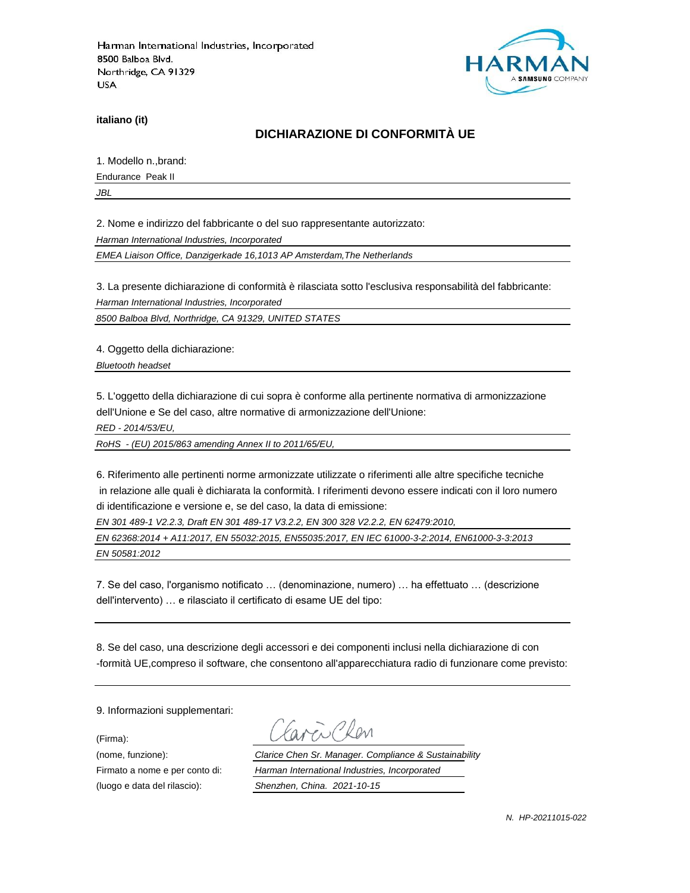

**italiano (it)**

## **DICHIARAZIONE DI CONFORMITÀ UE**

1. Modello n.,brand:

Endurance Peak II

*JBL*

2. Nome e indirizzo del fabbricante o del suo rappresentante autorizzato:

*Harman International Industries, Incorporated*

*EMEA Liaison Office, Danzigerkade 16,1013 AP Amsterdam,The Netherlands*

3. La presente dichiarazione di conformità è rilasciata sotto l'esclusiva responsabilità del fabbricante:

*Harman International Industries, Incorporated*

*8500 Balboa Blvd, Northridge, CA 91329, UNITED STATES*

4. Oggetto della dichiarazione:

*Bluetooth headset*

5. L'oggetto della dichiarazione di cui sopra è conforme alla pertinente normativa di armonizzazione dell'Unione e Se del caso, altre normative di armonizzazione dell'Unione:

*RED - 2014/53/EU,*

*RoHS - (EU) 2015/863 amending Annex II to 2011/65/EU,*

6. Riferimento alle pertinenti norme armonizzate utilizzate o riferimenti alle altre specifiche tecniche in relazione alle quali è dichiarata la conformità. I riferimenti devono essere indicati con il loro numero di identificazione e versione e, se del caso, la data di emissione:

*EN 301 489-1 V2.2.3, Draft EN 301 489-17 V3.2.2, EN 300 328 V2.2.2, EN 62479:2010,*

*EN 62368:2014 + A11:2017, EN 55032:2015, EN55035:2017, EN IEC 61000-3-2:2014, EN61000-3-3:2013 EN 50581:2012*

7. Se del caso, l'organismo notificato … (denominazione, numero) … ha effettuato … (descrizione dell'intervento) … e rilasciato il certificato di esame UE del tipo:

8. Se del caso, una descrizione degli accessori e dei componenti inclusi nella dichiarazione di con -formità UE,compreso il software, che consentono all'apparecchiatura radio di funzionare come previsto:

9. Informazioni supplementari:

(Firma):

(luogo e data del rilascio): *Shenzhen, China. 2021-10-15*

i Plan

(nome, funzione): *Clarice Chen Sr. Manager. Compliance & Sustainability* Firmato a nome e per conto di: *Harman International Industries, Incorporated*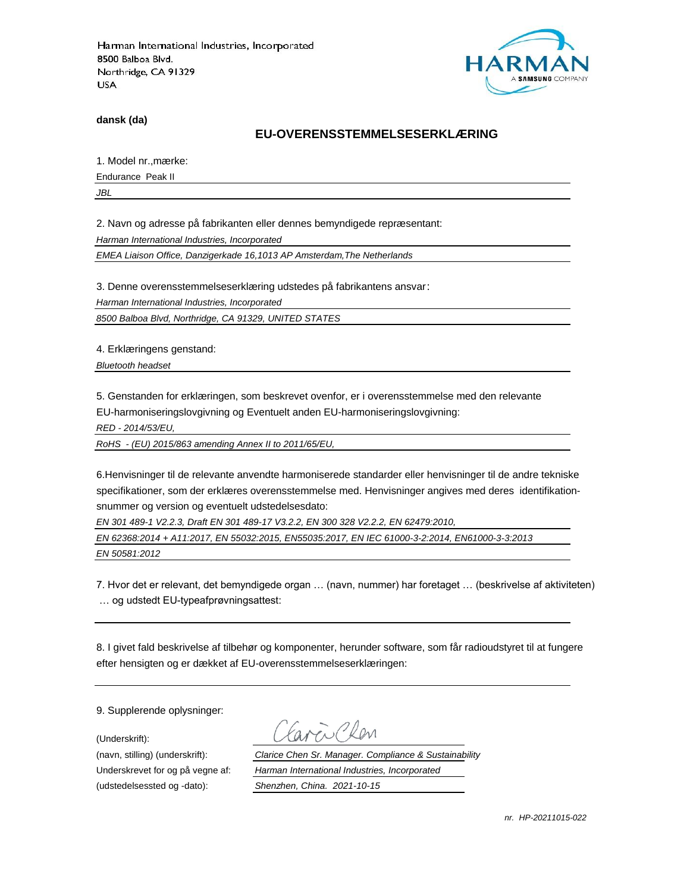

**dansk (da)**

#### **EU-OVERENSSTEMMELSESERKLÆ RING**

1. Model nr., mærke:

Endurance Peak II

*JBL*

2. Navn og adresse på fabrikanten eller dennes bemyndigede repræ sentant:

*Harman International Industries, Incorporated*

*EMEA Liaison Office, Danzigerkade 16,1013 AP Amsterdam,The Netherlands*

3. Denne overensstemmelseserklæring udstedes på fabrikantens ansvar:

*Harman International Industries, Incorporated*

*8500 Balboa Blvd, Northridge, CA 91329, UNITED STATES*

4. Erklæringens genstand:

*Bluetooth headset*

5. Genstanden for erklæringen, som beskrevet ovenfor, er i overensstemmelse med den relevante EU-harmoniseringslovgivning og Eventuelt anden EU-harmoniseringslovgivning:

*RED - 2014/53/EU,*

*RoHS - (EU) 2015/863 amending Annex II to 2011/65/EU,*

6.Henvisninger til de relevante anvendte harmoniserede standarder eller henvisninger til de andre tekniske specifikationer, som der erklæres overensstemmelse med. Henvisninger angives med deres identifikationsnummer og version og eventuelt udstedelsesdato:

*EN 301 489-1 V2.2.3, Draft EN 301 489-17 V3.2.2, EN 300 328 V2.2.2, EN 62479:2010,*

*EN 62368:2014 + A11:2017, EN 55032:2015, EN55035:2017, EN IEC 61000-3-2:2014, EN61000-3-3:2013 EN 50581:2012*

7. Hvor det er relevant, det bemyndigede organ … (navn, nummer) har foretaget … (beskrivelse af aktiviteten) … og udstedt EU-typeafprøvningsattest:

8. I givet fald beskrivelse af tilbehør og komponenter, herunder software, som får radioudstyret til at fungere efter hensigten og er dækket af EU-overensstemmelseserklæringen:

9. Supplerende oplysninger:

(Underskrift):

(udstedelsessted og -dato): *Shenzhen, China. 2021-10-15*

(navn, stilling) (underskrift): *Clarice Chen Sr. Manager. Compliance & Sustainability* Underskrevet for og på vegne af: *Harman International Industries, Incorporated*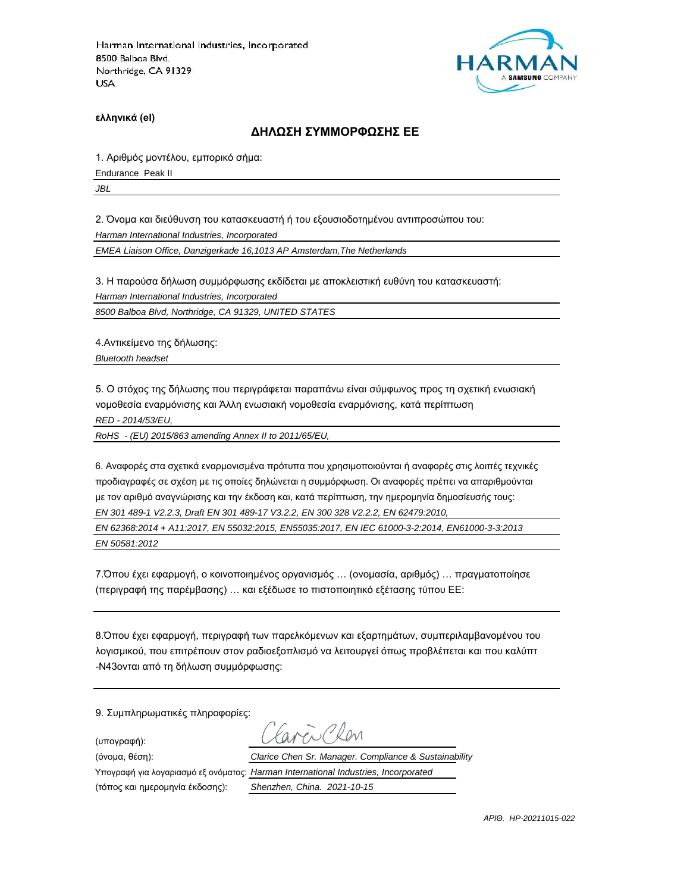

**ελληνικά (el)**

#### **ΔΗΛΩΣΗ ΣΥΜΜΟΡΦΩΣΗΣ ΕΕ**

1. Αριθμός μοντέλου, εμπορικό σήμα:

Endurance Peak II

*JBL*

2. Όνομα και διεύθυνση του κατασκευαστή ή του εξουσιοδοτημένου αντιπροσώπου του:

*Harman International Industries, Incorporated*

*EMEA Liaison Office, Danzigerkade 16,1013 AP Amsterdam,The Netherlands*

3. Η παρούσα δήλωση συμμόρφωσης εκδίδεται με αποκλειστική ευθύνη του κατασκευαστή:

*Harman International Industries, Incorporated*

*8500 Balboa Blvd, Northridge, CA 91329, UNITED STATES*

4.Αντικείμενο της δήλωσης:

*Bluetooth headset*

5. Ο στόχος της δήλωσης που περιγράφεται παραπάνω είναι σύμφωνος προς τη σχετική ενωσιακή νομοθεσία εναρμόνισης και Άλλη ενωσιακή νομοθεσία εναρμόνισης, κατά περίπτωση

*RED - 2014/53/EU,*

*RoHS - (EU) 2015/863 amending Annex II to 2011/65/EU,*

6. Αναφορές στα σχετικά εναρμονισμένα πρότυπα που χρησιμοποιούνται ή αναφορές στις λοιπές τεχνικές προδιαγραφές σε σχέση με τις οποίες δηλώνεται η συμμόρφωση. Οι αναφορές πρέπει να απαριθμούνται με τον αριθμό αναγνώρισης και την έκδοση και, κατά περίπτωση, την ημερομηνία δημοσίευσής τους: *EN 301 489-1 V2.2.3, Draft EN 301 489-17 V3.2.2, EN 300 328 V2.2.2, EN 62479:2010,*

*EN 62368:2014 + A11:2017, EN 55032:2015, EN55035:2017, EN IEC 61000-3-2:2014, EN61000-3-3:2013 EN 50581:2012*

7.Όπου έχει εφαρμογή, ο κοινοποιημένος οργανισμός … (ονομασία, αριθμός) … πραγματοποίησε (περιγραφή της παρέμβασης) … και εξέδωσε το πιστοποιητικό εξέτασης τύπου ΕΕ:

8.Όπου έχει εφαρμογή, περιγραφή των παρελκόμενων και εξαρτημάτων, συμπεριλαμβανομένου του λογισμικού, που επιτρέπουν στον ραδιοεξοπλισμό να λειτουργεί όπως προβλέπεται και που καλύπτ -N43ονται από τη δήλωση συμμόρφωσης:

9. Συμπληρωματικές πληροφορίες:

(υπογραφή):

(τόπος και ημερομηνία έκδοσης): *Shenzhen, China. 2021-10-15*

ww Ron (όνομα, θέση): *Clarice Chen Sr. Manager. Compliance & Sustainability* Υπογραφή για λογαριασμό εξ ονόματος: *Harman International Industries, Incorporated*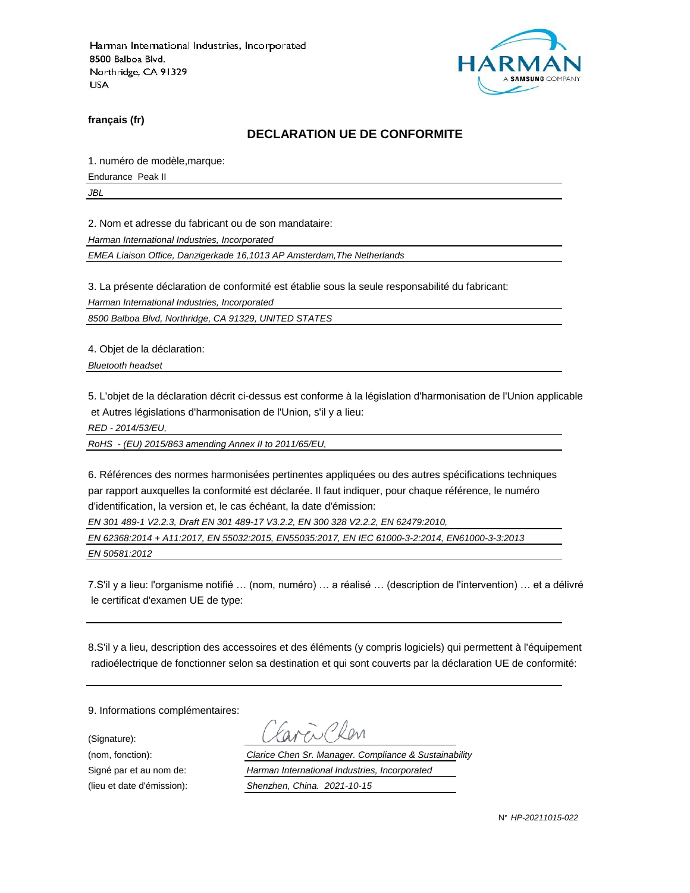

**français (fr)**

#### **DECLARATION UE DE CONFORMITE**

1. numéro de modèle,marque:

Endurance Peak II

*JBL*

2. Nom et adresse du fabricant ou de son mandataire:

*Harman International Industries, Incorporated*

*EMEA Liaison Office, Danzigerkade 16,1013 AP Amsterdam,The Netherlands*

3. La présente déclaration de conformité est établie sous la seule responsabilité du fabricant:

*Harman International Industries, Incorporated*

*8500 Balboa Blvd, Northridge, CA 91329, UNITED STATES*

4. Objet de la déclaration:

*Bluetooth headset*

5. L'objet de la déclaration décrit ci-dessus est conforme à la législation d'harmonisation de l'Union applicable et Autres législations d'harmonisation de l'Union, s'il y a lieu:

*RED - 2014/53/EU,*

*RoHS - (EU) 2015/863 amending Annex II to 2011/65/EU,*

6. Références des normes harmonisées pertinentes appliquées ou des autres spécifications techniques par rapport auxquelles la conformité est déclarée. Il faut indiquer, pour chaque référence, le numéro d'identification, la version et, le cas échéant, la date d'émission:

*EN 301 489-1 V2.2.3, Draft EN 301 489-17 V3.2.2, EN 300 328 V2.2.2, EN 62479:2010,*

*EN 62368:2014 + A11:2017, EN 55032:2015, EN55035:2017, EN IEC 61000-3-2:2014, EN61000-3-3:2013 EN 50581:2012*

7.S'il y a lieu: l'organisme notifié … (nom, numéro) … a réalisé … (description de l'intervention) … et a délivré le certificat d'examen UE de type:

8.S'il y a lieu, description des accessoires et des éléments (y compris logiciels) qui permettent à l'équipement radioélectrique de fonctionner selon sa destination et qui sont couverts par la déclaration UE de conformité:

9. Informations complémentaires:

(Signature):

(nom, fonction): *Clarice Chen Sr. Manager. Compliance & Sustainability* Signé par et au nom de: *Harman International Industries, Incorporated* (lieu et date d'émission): *Shenzhen, China. 2021-10-15*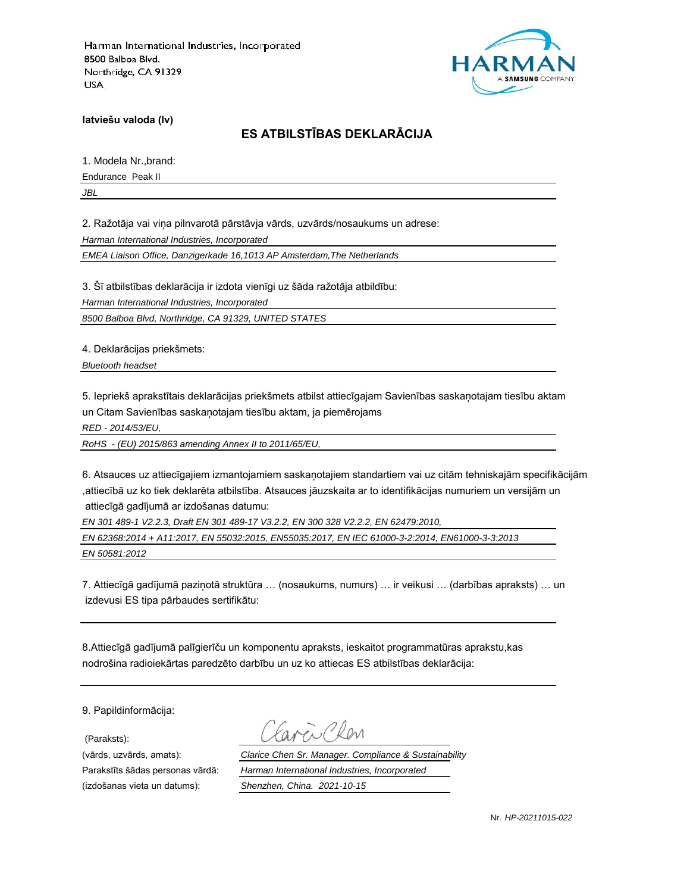

**latviešu valoda (lv)**

# **ES ATBILSTĪBAS DEKLARĀCIJA**

1. Modela Nr.,brand:

Endurance Peak II

*JBL*

2. Ražotāja vai viņa pilnvarotā pārstāvja vārds, uzvārds/nosaukums un adrese:

*Harman International Industries, Incorporated*

*EMEA Liaison Office, Danzigerkade 16,1013 AP Amsterdam,The Netherlands*

3. Šī atbilstības deklarācija ir izdota vienīgi uz šāda ražotāja atbildību:

*Harman International Industries, Incorporated*

*8500 Balboa Blvd, Northridge, CA 91329, UNITED STATES*

4. Deklarācijas priekšmets:

*Bluetooth headset*

5. Iepriekš aprakstītais deklarācijas priekšmets atbilst attiecīgajam Savienības saskaņotajam tiesību aktam un Citam Savienības saskaņotajam tiesību aktam, ja piemērojams

*RED - 2014/53/EU,*

*RoHS - (EU) 2015/863 amending Annex II to 2011/65/EU,*

6. Atsauces uz attiecīgajiem izmantojamiem saskaņotajiem standartiem vai uz citām tehniskajām specifikācijām ,attiecībā uz ko tiek deklarēta atbilstība. Atsauces jāuzskaita ar to identifikācijas numuriem un versijām un attiecīgā gadījumā ar izdošanas datumu:

*EN 301 489-1 V2.2.3, Draft EN 301 489-17 V3.2.2, EN 300 328 V2.2.2, EN 62479:2010,*

*EN 62368:2014 + A11:2017, EN 55032:2015, EN55035:2017, EN IEC 61000-3-2:2014, EN61000-3-3:2013 EN 50581:2012*

7. Attiecīgā gadījumā paziņotā struktūra … (nosaukums, numurs) … ir veikusi … (darbības apraksts) … un izdevusi ES tipa pārbaudes sertifikātu:

8.Attiecīgā gadījumā palīgierīču un komponentu apraksts, ieskaitot programmatūras aprakstu,kas nodrošina radioiekārtas paredzēto darbību un uz ko attiecas ES atbilstības deklarācija:

9. Papildinformācija:

(Paraksts):

(vārds, uzvārds, amats): *Clarice Chen Sr. Manager. Compliance & Sustainability* Parakstīts šādas personas vārdā: *Harman International Industries, Incorporated* (izdošanas vieta un datums): *Shenzhen, China. 2021-10-15*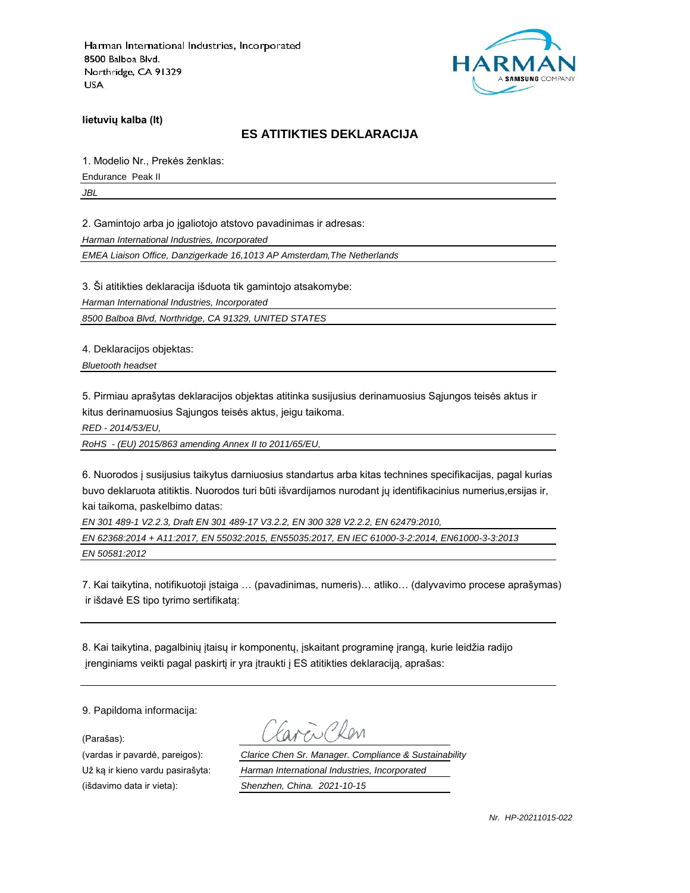

**lietuvių kalba (lt)**

#### **ES ATITIKTIES DEKLARACIJA**

1. Modelio Nr., Prekės ženklas:

Endurance Peak II

*JBL*

2. Gamintojo arba jo įgaliotojo atstovo pavadinimas ir adresas:

*Harman International Industries, Incorporated*

*EMEA Liaison Office, Danzigerkade 16,1013 AP Amsterdam,The Netherlands*

3. Ši atitikties deklaracija išduota tik gamintojo atsakomybe:

*Harman International Industries, Incorporated*

*8500 Balboa Blvd, Northridge, CA 91329, UNITED STATES*

4. Deklaracijos objektas:

*Bluetooth headset*

5. Pirmiau aprašytas deklaracijos objektas atitinka susijusius derinamuosius Sąjungos teisės aktus ir kitus derinamuosius Sąjungos teisės aktus, jeigu taikoma.

*RED - 2014/53/EU,*

*RoHS - (EU) 2015/863 amending Annex II to 2011/65/EU,*

6. Nuorodos į susijusius taikytus darniuosius standartus arba kitas technines specifikacijas, pagal kurias buvo deklaruota atitiktis. Nuorodos turi būti išvardijamos nurodant jų identifikacinius numerius,ersijas ir, kai taikoma, paskelbimo datas:

*EN 301 489-1 V2.2.3, Draft EN 301 489-17 V3.2.2, EN 300 328 V2.2.2, EN 62479:2010,*

*EN 62368:2014 + A11:2017, EN 55032:2015, EN55035:2017, EN IEC 61000-3-2:2014, EN61000-3-3:2013 EN 50581:2012*

7. Kai taikytina, notifikuotoji įstaiga … (pavadinimas, numeris)… atliko… (dalyvavimo procese aprašymas) ir išdavė ES tipo tyrimo sertifikatą:

8. Kai taikytina, pagalbinių įtaisų ir komponentų, įskaitant programinę įrangą, kurie leidžia radijo įrenginiams veikti pagal paskirtį ir yra įtraukti į ES atitikties deklaraciją, aprašas:

9. Papildoma informacija:

(Parašas):

(vardas ir pavardė, pareigos): *Clarice Chen Sr. Manager. Compliance & Sustainability* Už ką ir kieno vardu pasirašyta: *Harman International Industries, Incorporated* (išdavimo data ir vieta): *Shenzhen, China. 2021-10-15*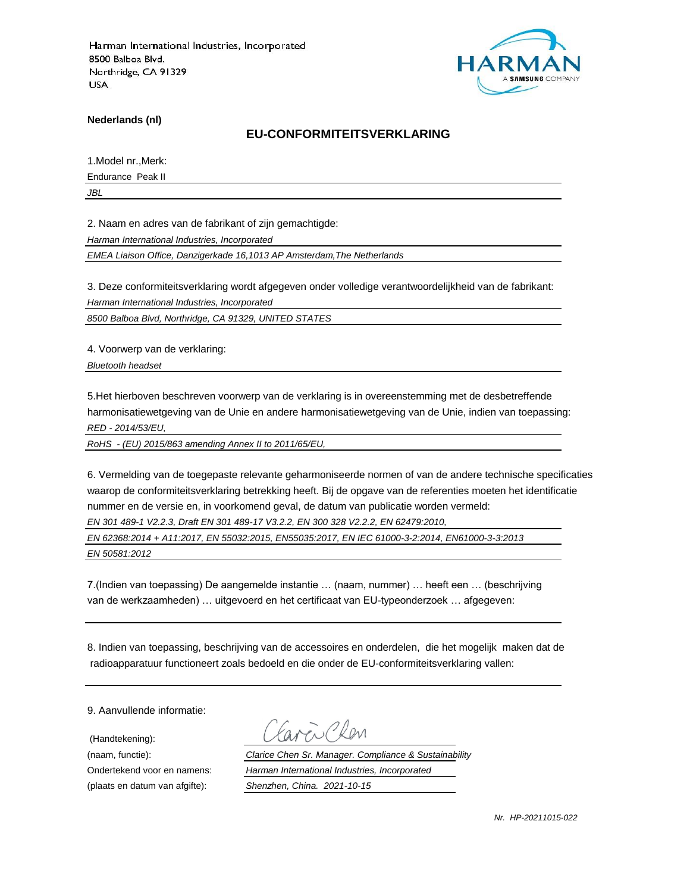

**Nederlands (nl)**

#### **EU-CONFORMITEITSVERKLARING**

1.Model nr.,Merk:

Endurance Peak II

*JBL*

2. Naam en adres van de fabrikant of zijn gemachtigde:

*Harman International Industries, Incorporated*

*EMEA Liaison Office, Danzigerkade 16,1013 AP Amsterdam,The Netherlands*

3. Deze conformiteitsverklaring wordt afgegeven onder volledige verantwoordelijkheid van de fabrikant:

*Harman International Industries, Incorporated*

*8500 Balboa Blvd, Northridge, CA 91329, UNITED STATES*

4. Voorwerp van de verklaring:

*Bluetooth headset*

5.Het hierboven beschreven voorwerp van de verklaring is in overeenstemming met de desbetreffende harmonisatiewetgeving van de Unie en andere harmonisatiewetgeving van de Unie, indien van toepassing: *RED - 2014/53/EU,*

*RoHS - (EU) 2015/863 amending Annex II to 2011/65/EU,*

6. Vermelding van de toegepaste relevante geharmoniseerde normen of van de andere technische specificaties waarop de conformiteitsverklaring betrekking heeft. Bij de opgave van de referenties moeten het identificatie nummer en de versie en, in voorkomend geval, de datum van publicatie worden vermeld:

*EN 301 489-1 V2.2.3, Draft EN 301 489-17 V3.2.2, EN 300 328 V2.2.2, EN 62479:2010,*

*EN 62368:2014 + A11:2017, EN 55032:2015, EN55035:2017, EN IEC 61000-3-2:2014, EN61000-3-3:2013 EN 50581:2012*

7.(Indien van toepassing) De aangemelde instantie … (naam, nummer) … heeft een … (beschrijving van de werkzaamheden) … uitgevoerd en het certificaat van EU-typeonderzoek … afgegeven:

8. Indien van toepassing, beschrijving van de accessoires en onderdelen, die het mogelijk maken dat de radioapparatuur functioneert zoals bedoeld en die onder de EU-conformiteitsverklaring vallen:

9. Aanvullende informatie:

(Handtekening):

(naam, functie): *Clarice Chen Sr. Manager. Compliance & Sustainability* Ondertekend voor en namens: *Harman International Industries, Incorporated* (plaats en datum van afgifte): *Shenzhen, China. 2021-10-15*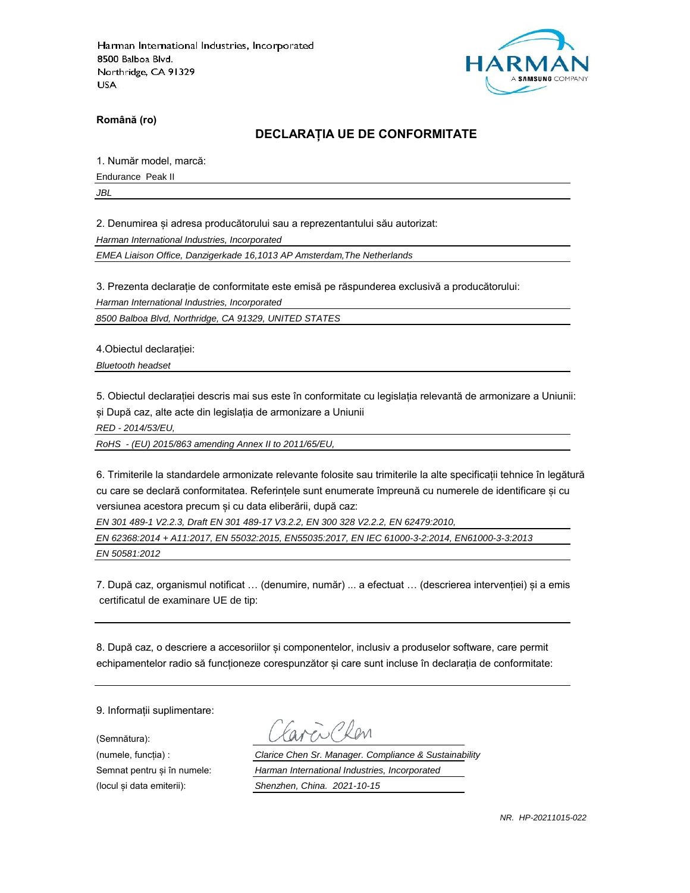

**Română (ro)**

### **DECLARAȚIA UE DE CONFORMITATE**

1. Număr model, marcă:

Endurance Peak II

*JBL*

2. Denumirea și adresa producătorului sau a reprezentantului său autorizat:

*Harman International Industries, Incorporated*

*EMEA Liaison Office, Danzigerkade 16,1013 AP Amsterdam,The Netherlands*

3. Prezenta declarație de conformitate este emisă pe răspunderea exclusivă a producătorului:

*Harman International Industries, Incorporated*

*8500 Balboa Blvd, Northridge, CA 91329, UNITED STATES*

4.Obiectul declarației:

*Bluetooth headset*

5. Obiectul declarației descris mai sus este în conformitate cu legislația relevantă de armonizare a Uniunii: și După caz, alte acte din legislația de armonizare a Uniunii

*RED - 2014/53/EU,*

*RoHS - (EU) 2015/863 amending Annex II to 2011/65/EU,*

6. Trimiterile la standardele armonizate relevante folosite sau trimiterile la alte specificații tehnice în legătură cu care se declară conformitatea. Referințele sunt enumerate împreună cu numerele de identificare și cu versiunea acestora precum și cu data eliberării, după caz:

*EN 301 489-1 V2.2.3, Draft EN 301 489-17 V3.2.2, EN 300 328 V2.2.2, EN 62479:2010,*

*EN 62368:2014 + A11:2017, EN 55032:2015, EN55035:2017, EN IEC 61000-3-2:2014, EN61000-3-3:2013 EN 50581:2012*

7. După caz, organismul notificat … (denumire, număr) ... a efectuat … (descrierea intervenției) și a emis certificatul de examinare UE de tip:

8. După caz, o descriere a accesoriilor și componentelor, inclusiv a produselor software, care permit echipamentelor radio să funcționeze corespunzător și care sunt incluse în declarația de conformitate:

9. Informații suplimentare:

(Semnătura):

(numele, funcția) : *Clarice Chen Sr. Manager. Compliance & Sustainability* Semnat pentru și în numele: *Harman International Industries, Incorporated* (locul și data emiterii): *Shenzhen, China. 2021-10-15*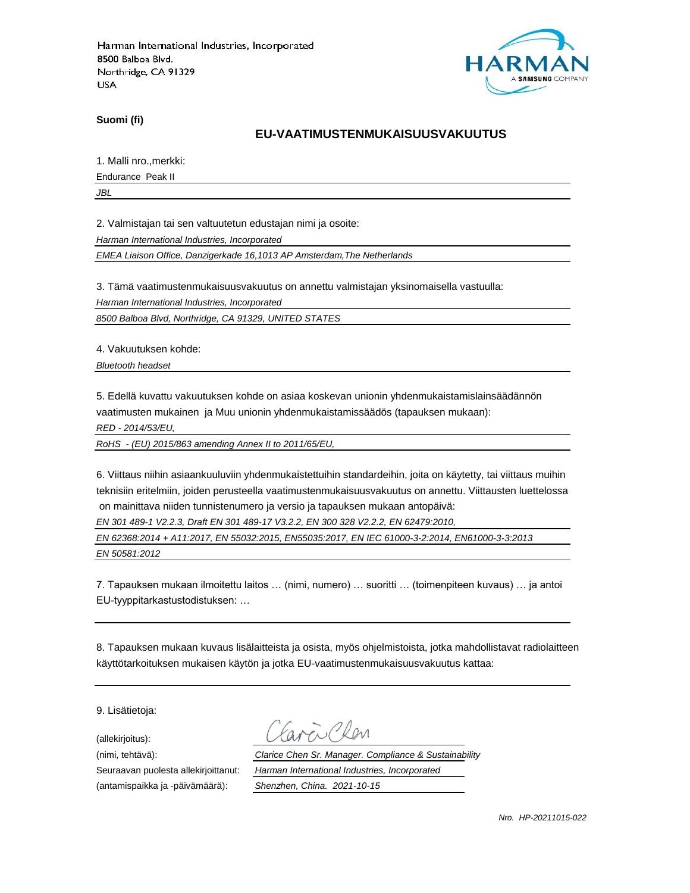

**Suomi (fi)**

### **EU-VAATIMUSTENMUKAISUUSVAKUUTUS**

1. Malli nro.,merkki:

Endurance Peak II

*JBL*

2. Valmistajan tai sen valtuutetun edustajan nimi ja osoite:

*Harman International Industries, Incorporated*

*EMEA Liaison Office, Danzigerkade 16,1013 AP Amsterdam,The Netherlands*

3. Tämä vaatimustenmukaisuusvakuutus on annettu valmistajan yksinomaisella vastuulla:

*Harman International Industries, Incorporated*

*8500 Balboa Blvd, Northridge, CA 91329, UNITED STATES*

4. Vakuutuksen kohde:

*Bluetooth headset*

5. Edellä kuvattu vakuutuksen kohde on asiaa koskevan unionin yhdenmukaistamislainsäädännön vaatimusten mukainen ja Muu unionin yhdenmukaistamissäädös (tapauksen mukaan):

*RED - 2014/53/EU,*

*RoHS - (EU) 2015/863 amending Annex II to 2011/65/EU,*

6. Viittaus niihin asiaankuuluviin yhdenmukaistettuihin standardeihin, joita on käytetty, tai viittaus muihin teknisiin eritelmiin, joiden perusteella vaatimustenmukaisuusvakuutus on annettu. Viittausten luettelossa on mainittava niiden tunnistenumero ja versio ja tapauksen mukaan antopäivä:

*EN 301 489-1 V2.2.3, Draft EN 301 489-17 V3.2.2, EN 300 328 V2.2.2, EN 62479:2010,*

*EN 62368:2014 + A11:2017, EN 55032:2015, EN55035:2017, EN IEC 61000-3-2:2014, EN61000-3-3:2013 EN 50581:2012*

7. Tapauksen mukaan ilmoitettu laitos … (nimi, numero) … suoritti … (toimenpiteen kuvaus) … ja antoi EU-tyyppitarkastustodistuksen: …

8. Tapauksen mukaan kuvaus lisälaitteista ja osista, myös ohjelmistoista, jotka mahdollistavat radiolaitteen käyttötarkoituksen mukaisen käytön ja jotka EU-vaatimustenmukaisuusvakuutus kattaa:

9. Lisätietoja:

(allekirjoitus):

(antamispaikka ja -päivämäärä): *Shenzhen, China. 2021-10-15*

(nimi, tehtävä): *Clarice Chen Sr. Manager. Compliance & Sustainability* Seuraavan puolesta allekirjoittanut: *Harman International Industries, Incorporated*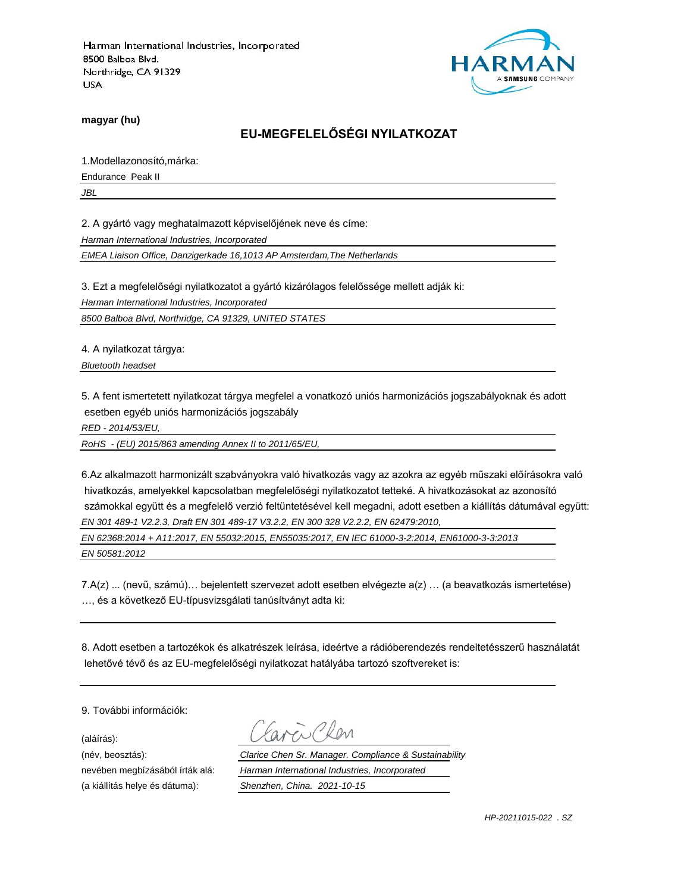

**magyar (hu)**

# **EU-MEGFELELŐSÉGI NYILATKOZAT**

1.Modellazonosító,márka:

Endurance Peak II

*JBL*

2. A gyártó vagy meghatalmazott képviselőjének neve és címe:

*Harman International Industries, Incorporated*

*EMEA Liaison Office, Danzigerkade 16,1013 AP Amsterdam,The Netherlands*

3. Ezt a megfelelőségi nyilatkozatot a gyártó kizárólagos felelőssége mellett adják ki:

*Harman International Industries, Incorporated*

*8500 Balboa Blvd, Northridge, CA 91329, UNITED STATES*

4. A nyilatkozat tárgya:

*Bluetooth headset*

5. A fent ismertetett nyilatkozat tárgya megfelel a vonatkozó uniós harmonizációs jogszabályoknak és adott esetben egyéb uniós harmonizációs jogszabály

*RED - 2014/53/EU,*

*RoHS - (EU) 2015/863 amending Annex II to 2011/65/EU,*

6.Az alkalmazott harmonizált szabványokra való hivatkozás vagy az azokra az egyéb műszaki előírásokra való hivatkozás, amelyekkel kapcsolatban megfelelőségi nyilatkozatot tetteké. A hivatkozásokat az azonosító számokkal együtt és a megfelelő verzió feltüntetésével kell megadni, adott esetben a kiállítás dátumával együtt: *EN 301 489-1 V2.2.3, Draft EN 301 489-17 V3.2.2, EN 300 328 V2.2.2, EN 62479:2010,*

*EN 62368:2014 + A11:2017, EN 55032:2015, EN55035:2017, EN IEC 61000-3-2:2014, EN61000-3-3:2013 EN 50581:2012*

7.A(z) ... (nevű, számú)… bejelentett szervezet adott esetben elvégezte a(z) … (a beavatkozás ismertetése) …, és a következő EU-típusvizsgálati tanúsítványt adta ki:

8. Adott esetben a tartozékok és alkatrészek leírása, ideértve a rádióberendezés rendeltetésszerű használatát lehetővé tévő és az EU-megfelelőségi nyilatkozat hatályába tartozó szoftvereket is:

9. További információk:

(aláírás):

(név, beosztás): *Clarice Chen Sr. Manager. Compliance & Sustainability* nevében megbízásából írták alá: *Harman International Industries, Incorporated* (a kiállítás helye és dátuma): *Shenzhen, China. 2021-10-15*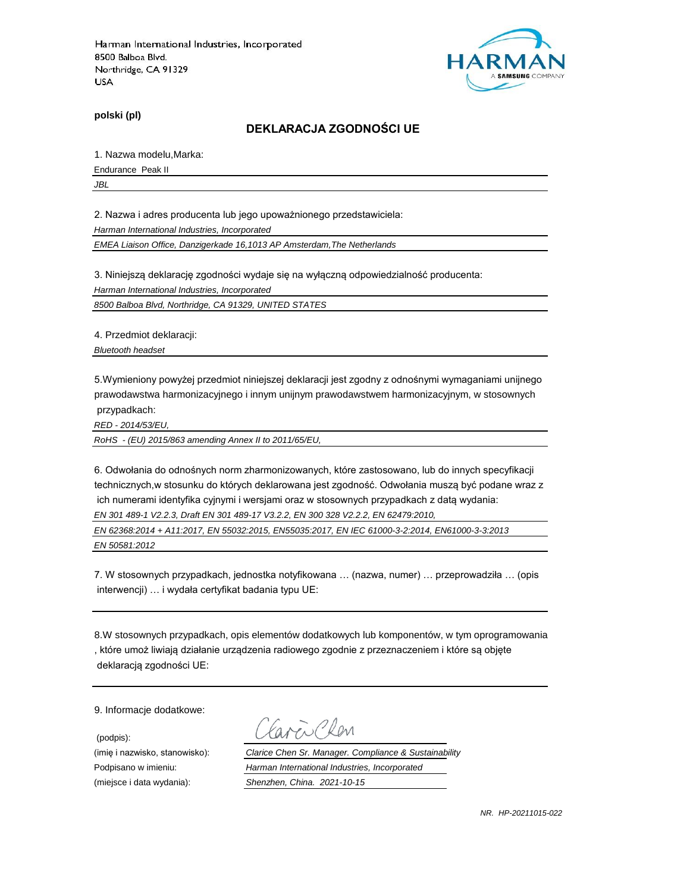

**polski (pl)**

#### **DEKLARACJA ZGODNOŚCI UE**

1. Nazwa modelu,Marka:

Endurance Peak II

*JBL*

2. Nazwa i adres producenta lub jego upoważnionego przedstawiciela:

*Harman International Industries, Incorporated*

*EMEA Liaison Office, Danzigerkade 16,1013 AP Amsterdam,The Netherlands*

3. Niniejszą deklarację zgodności wydaje się na wyłączną odpowiedzialność producenta:

*Harman International Industries, Incorporated*

*8500 Balboa Blvd, Northridge, CA 91329, UNITED STATES*

4. Przedmiot deklaracji:

*Bluetooth headset*

5.Wymieniony powyżej przedmiot niniejszej deklaracji jest zgodny z odnośnymi wymaganiami unijnego prawodawstwa harmonizacyjnego i innym unijnym prawodawstwem harmonizacyjnym, w stosownych przypadkach:

*RED - 2014/53/EU,*

*RoHS - (EU) 2015/863 amending Annex II to 2011/65/EU,*

6. Odwołania do odnośnych norm zharmonizowanych, które zastosowano, lub do innych specyfikacji technicznych,w stosunku do których deklarowana jest zgodność. Odwołania muszą być podane wraz z ich numerami identyfika cyjnymi i wersjami oraz w stosownych przypadkach z datą wydania: *EN 301 489-1 V2.2.3, Draft EN 301 489-17 V3.2.2, EN 300 328 V2.2.2, EN 62479:2010,*

*EN 62368:2014 + A11:2017, EN 55032:2015, EN55035:2017, EN IEC 61000-3-2:2014, EN61000-3-3:2013 EN 50581:2012*

7. W stosownych przypadkach, jednostka notyfikowana … (nazwa, numer) … przeprowadziła … (opis interwencji) … i wydała certyfikat badania typu UE:

8.W stosownych przypadkach, opis elementów dodatkowych lub komponentów, w tym oprogramowania , które umoż liwiają działanie urządzenia radiowego zgodnie z przeznaczeniem i które są objęte deklaracją zgodności UE:

9. Informacje dodatkowe:

(podpis):

 $\sum$  Plan

(imię i nazwisko, stanowisko): *Clarice Chen Sr. Manager. Compliance & Sustainability* Podpisano w imieniu: *Harman International Industries, Incorporated* (miejsce i data wydania): *Shenzhen, China. 2021-10-15*

*NR. HP-20211015-022*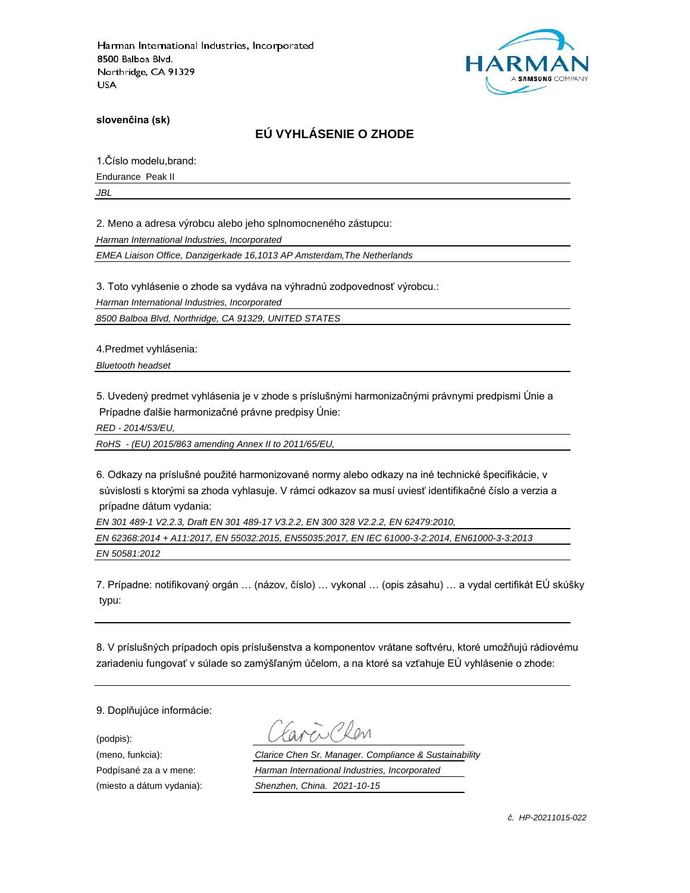

**slovenčina (sk)**

# **EÚ VYHLÁSENIE O ZHODE**

1.Číslo modelu,brand:

Endurance Peak II

*JBL*

2. Meno a adresa výrobcu alebo jeho splnomocneného zástupcu:

*Harman International Industries, Incorporated*

*EMEA Liaison Office, Danzigerkade 16,1013 AP Amsterdam,The Netherlands*

3. Toto vyhlásenie o zhode sa vydáva na výhradnú zodpovednosť výrobcu.:

*Harman International Industries, Incorporated*

*8500 Balboa Blvd, Northridge, CA 91329, UNITED STATES*

4.Predmet vyhlásenia:

*Bluetooth headset*

5. Uvedený predmet vyhlásenia je v zhode s príslušnými harmonizačnými právnymi predpismi Únie a Prípadne ďalšie harmonizačné právne predpisy Únie:

*RED - 2014/53/EU,*

*RoHS - (EU) 2015/863 amending Annex II to 2011/65/EU,*

6. Odkazy na príslušné použité harmonizované normy alebo odkazy na iné technické špecifikácie, v súvislosti s ktorými sa zhoda vyhlasuje. V rámci odkazov sa musí uviesť identifikačné číslo a verzia a prípadne dátum vydania:

*EN 301 489-1 V2.2.3, Draft EN 301 489-17 V3.2.2, EN 300 328 V2.2.2, EN 62479:2010,*

*EN 62368:2014 + A11:2017, EN 55032:2015, EN55035:2017, EN IEC 61000-3-2:2014, EN61000-3-3:2013 EN 50581:2012*

7. Prípadne: notifikovaný orgán … (názov, číslo) … vykonal … (opis zásahu) … a vydal certifikát EÚ skúšky typu:

8. V príslušných prípadoch opis príslušenstva a komponentov vrátane softvéru, ktoré umožňujú rádiovému zariadeniu fungovať v súlade so zamýšľaným účelom, a na ktoré sa vzťahuje EÚ vyhlásenie o zhode:

9. Doplňujúce informácie:

(podpis):

(meno, funkcia): *Clarice Chen Sr. Manager. Compliance & Sustainability* Podpísané za a v mene: *Harman International Industries, Incorporated* (miesto a dátum vydania): *Shenzhen, China. 2021-10-15*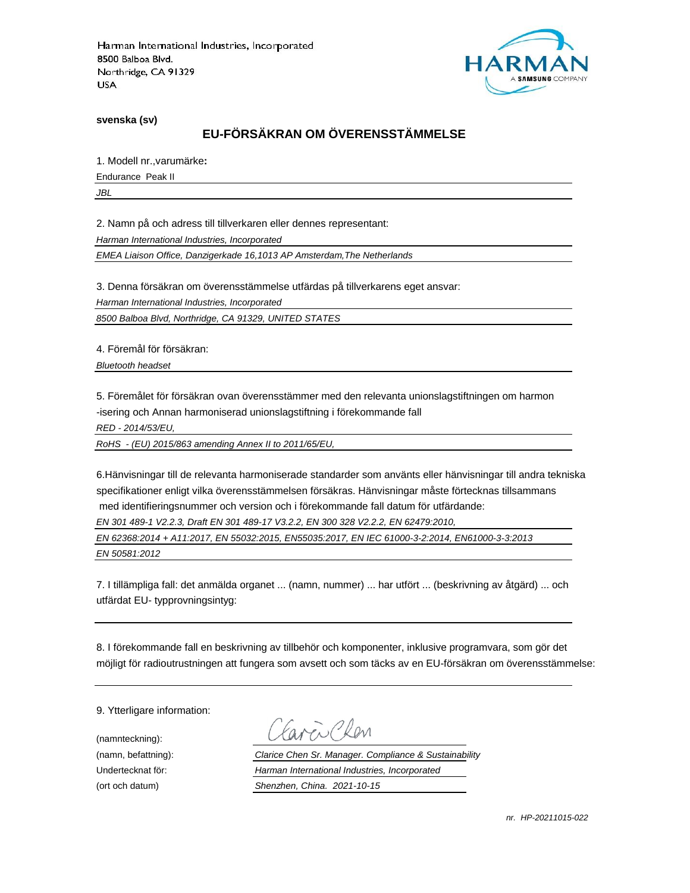

**svenska (sv)**

# **EU-FÖRSÄKRAN OM ÖVERENSSTÄMMELSE**

1. Modell nr.,varumärke**:**

Endurance Peak II

*JBL*

2. Namn på och adress till tillverkaren eller dennes representant:

*Harman International Industries, Incorporated*

*EMEA Liaison Office, Danzigerkade 16,1013 AP Amsterdam,The Netherlands*

3. Denna försäkran om överensstämmelse utfärdas på tillverkarens eget ansvar:

*Harman International Industries, Incorporated*

*8500 Balboa Blvd, Northridge, CA 91329, UNITED STATES*

4. Föremål för försäkran:

*Bluetooth headset*

5. Föremålet för försäkran ovan överensstämmer med den relevanta unionslagstiftningen om harmon -isering och Annan harmoniserad unionslagstiftning i förekommande fall

*RED - 2014/53/EU,*

*RoHS - (EU) 2015/863 amending Annex II to 2011/65/EU,*

6.Hänvisningar till de relevanta harmoniserade standarder som använts eller hänvisningar till andra tekniska specifikationer enligt vilka överensstämmelsen försäkras. Hänvisningar måste förtecknas tillsammans med identifieringsnummer och version och i förekommande fall datum för utfärdande:

*EN 301 489-1 V2.2.3, Draft EN 301 489-17 V3.2.2, EN 300 328 V2.2.2, EN 62479:2010,*

*EN 62368:2014 + A11:2017, EN 55032:2015, EN55035:2017, EN IEC 61000-3-2:2014, EN61000-3-3:2013 EN 50581:2012*

7. I tillämpliga fall: det anmälda organet ... (namn, nummer) ... har utfört ... (beskrivning av åtgärd) ... och utfärdat EU- typprovningsintyg:

8. I förekommande fall en beskrivning av tillbehör och komponenter, inklusive programvara, som gör det möjligt för radioutrustningen att fungera som avsett och som täcks av en EU-försäkran om överensstämmelse:

9. Ytterligare information:

(namnteckning):

EN Plen

(namn, befattning): *Clarice Chen Sr. Manager. Compliance & Sustainability* Undertecknat för: *Harman International Industries, Incorporated* (ort och datum) *Shenzhen, China. 2021-10-15*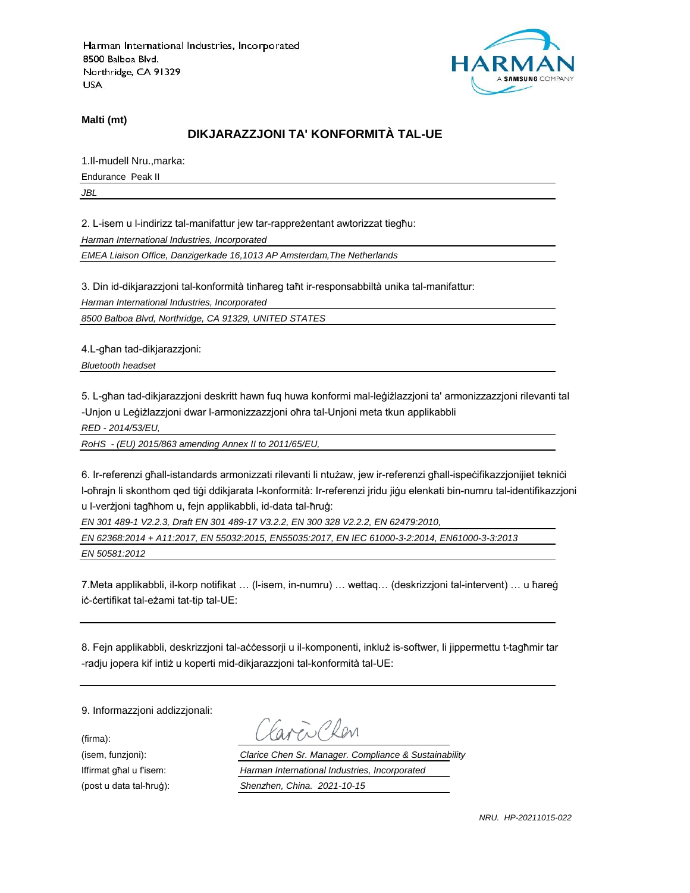

**Malti (mt)**

## **DIKJARAZZJONI TA' KONFORMITÀ TAL-UE**

1.Il-mudell Nru.,marka:

Endurance Peak II

*JBL*

2. L-isem u l-indirizz tal-manifattur jew tar-rappreżentant awtorizzat tiegħu:

*Harman International Industries, Incorporated*

*EMEA Liaison Office, Danzigerkade 16,1013 AP Amsterdam,The Netherlands*

3. Din id-dikjarazzjoni tal-konformità tinħareg taħt ir-responsabbiltà unika tal-manifattur:

*Harman International Industries, Incorporated*

*8500 Balboa Blvd, Northridge, CA 91329, UNITED STATES*

4.L-għan tad-dikjarazzjoni:

*Bluetooth headset*

5. L-għan tad-dikjarazzjoni deskritt hawn fuq huwa konformi mal-leġiżlazzjoni ta' armonizzazzjoni rilevanti tal -Unjon u Leġiżlazzjoni dwar l-armonizzazzjoni oħra tal-Unjoni meta tkun applikabbli

*RED - 2014/53/EU,*

*RoHS - (EU) 2015/863 amending Annex II to 2011/65/EU,*

6. Ir-referenzi għall-istandards armonizzati rilevanti li ntużaw, jew ir-referenzi għall-ispeċifikazzjonijiet tekniċi l-oħrajn li skonthom qed tiġi ddikjarata l-konformità: Ir-referenzi jridu jiġu elenkati bin-numru tal-identifikazzjoni u l-verżjoni tagħhom u, fejn applikabbli, id-data tal-ħruġ:

*EN 301 489-1 V2.2.3, Draft EN 301 489-17 V3.2.2, EN 300 328 V2.2.2, EN 62479:2010,*

*EN 62368:2014 + A11:2017, EN 55032:2015, EN55035:2017, EN IEC 61000-3-2:2014, EN61000-3-3:2013 EN 50581:2012*

7.Meta applikabbli, il-korp notifikat … (l-isem, in-numru) … wettaq… (deskrizzjoni tal-intervent) … u ħareġ iċ-ċertifikat tal-eżami tat-tip tal-UE:

8. Fejn applikabbli, deskrizzjoni tal-aċċessorji u il-komponenti, inkluż is-softwer, li jippermettu t-tagħmir tar -radju jopera kif intiż u koperti mid-dikjarazzjoni tal-konformità tal-UE:

9. Informazzjoni addizzjonali:

(firma):

EN CRON

(isem, funzjoni): *Clarice Chen Sr. Manager. Compliance & Sustainability* Iffirmat għal u f'isem: *Harman International Industries, Incorporated* (post u data tal-ħruġ): *Shenzhen, China. 2021-10-15*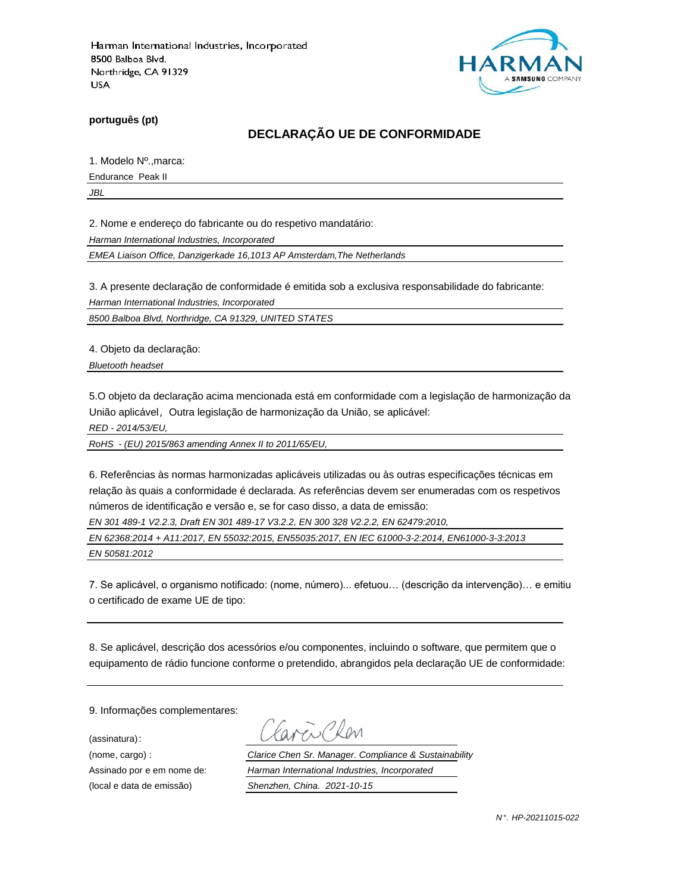

**português (pt)**

## **DECLARAÇÃO UE DE CONFORMIDADE**

1. Modelo Nº.,marca:

Endurance Peak II

*JBL*

2. Nome e endereço do fabricante ou do respetivo mandatário:

*Harman International Industries, Incorporated*

*EMEA Liaison Office, Danzigerkade 16,1013 AP Amsterdam,The Netherlands*

3. A presente declaração de conformidade é emitida sob a exclusiva responsabilidade do fabricante:

*Harman International Industries, Incorporated*

*8500 Balboa Blvd, Northridge, CA 91329, UNITED STATES*

4. Objeto da declaração:

*Bluetooth headset*

5.O objeto da declaração acima mencionada está em conformidade com a legislação de harmonização da União aplicável, Outra legislação de harmonização da União, se aplicável:

*RED - 2014/53/EU,*

*RoHS - (EU) 2015/863 amending Annex II to 2011/65/EU,*

6. Referências às normas harmonizadas aplicáveis utilizadas ou às outras especificações técnicas em relação às quais a conformidade é declarada. As referências devem ser enumeradas com os respetivos números de identificação e versão e, se for caso disso, a data de emissão:

*EN 301 489-1 V2.2.3, Draft EN 301 489-17 V3.2.2, EN 300 328 V2.2.2, EN 62479:2010,*

*EN 62368:2014 + A11:2017, EN 55032:2015, EN55035:2017, EN IEC 61000-3-2:2014, EN61000-3-3:2013 EN 50581:2012*

7. Se aplicável, o organismo notificado: (nome, número)... efetuou… (descrição da intervenção)… e emitiu o certificado de exame UE de tipo:

8. Se aplicável, descrição dos acessórios e/ou componentes, incluindo o software, que permitem que o equipamento de rádio funcione conforme o pretendido, abrangidos pela declaração UE de conformidade:

9. Informações complementares:

(assinatura):

Chen

(nome, cargo) : *Clarice Chen Sr. Manager. Compliance & Sustainability* Assinado por e em nome de: *Harman International Industries, Incorporated* (local e data de emissão) *Shenzhen, China. 2021-10-15*